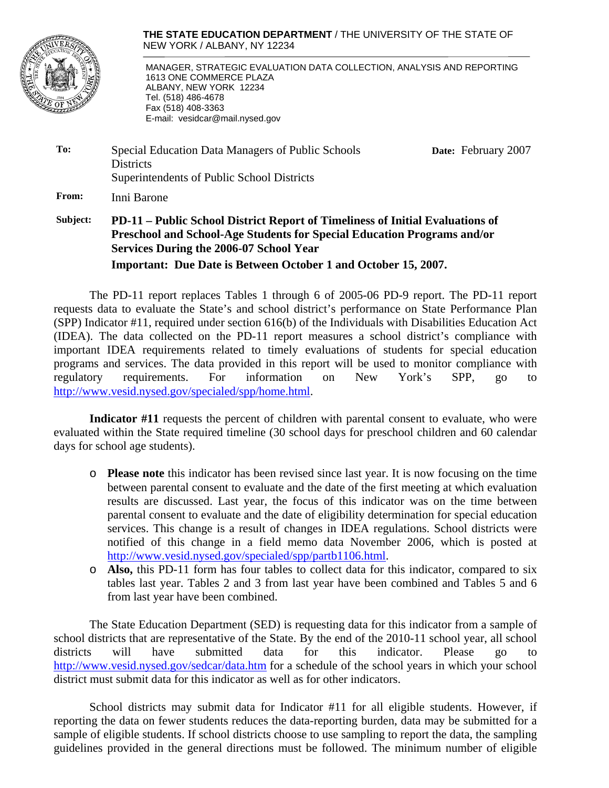

**THE STATE EDUCATION DEPARTMENT** / THE UNIVERSITY OF THE STATE OF NEW YORK / ALBANY, NY 12234

 MANAGER, STRATEGIC EVALUATION DATA COLLECTION, ANALYSIS AND REPORTING 1613 ONE COMMERCE PLAZA ALBANY, NEW YORK 12234 Tel. (518) 486-4678 Fax (518) 408-3363 E-mail: vesidcar@mail.nysed.gov

| To:             | Special Education Data Managers of Public Schools | Date: February 2007 |  |  |  |  |  |
|-----------------|---------------------------------------------------|---------------------|--|--|--|--|--|
|                 | <b>Districts</b>                                  |                     |  |  |  |  |  |
|                 | Superintendents of Public School Districts        |                     |  |  |  |  |  |
| From:           | Inni Barone                                       |                     |  |  |  |  |  |
| <b>Colorado</b> | י יונידי יידיו יוניידי המוניחי ומיונים ומיוחד     |                     |  |  |  |  |  |

## **Subject: PD-11 – Public School District Report of Timeliness of Initial Evaluations of Preschool and School-Age Students for Special Education Programs and/or Services During the 2006-07 School Year Important: Due Date is Between October 1 and October 15, 2007.**

The PD-11 report replaces Tables 1 through 6 of 2005-06 PD-9 report. The PD-11 report requests data to evaluate the State's and school district's performance on State Performance Plan (SPP) Indicator #11, required under section 616(b) of the Individuals with Disabilities Education Act (IDEA). The data collected on the PD-11 report measures a school district's compliance with important IDEA requirements related to timely evaluations of students for special education programs and services. The data provided in this report will be used to monitor compliance with regulatory requirements. For information on New York's SPP, go to http://www.vesid.nysed.gov/specialed/spp/home.html.

**Indicator #11** requests the percent of children with parental consent to evaluate, who were evaluated within the State required timeline (30 school days for preschool children and 60 calendar days for school age students).

- o **Please note** this indicator has been revised since last year. It is now focusing on the time between parental consent to evaluate and the date of the first meeting at which evaluation results are discussed. Last year, the focus of this indicator was on the time between parental consent to evaluate and the date of eligibility determination for special education services. This change is a result of changes in IDEA regulations. School districts were notified of this change in a field memo data November 2006, which is posted at http://www.vesid.nysed.gov/specialed/spp/partb1106.html.
- o **Also,** this PD-11 form has four tables to collect data for this indicator, compared to six tables last year. Tables 2 and 3 from last year have been combined and Tables 5 and 6 from last year have been combined.

The State Education Department (SED) is requesting data for this indicator from a sample of school districts that are representative of the State. By the end of the 2010-11 school year, all school districts will have submitted data for this indicator. Please go to http://www.vesid.nysed.gov/sedcar/data.htm for a schedule of the school years in which your school district must submit data for this indicator as well as for other indicators.

 School districts may submit data for Indicator #11 for all eligible students. However, if reporting the data on fewer students reduces the data-reporting burden, data may be submitted for a sample of eligible students. If school districts choose to use sampling to report the data, the sampling guidelines provided in the general directions must be followed. The minimum number of eligible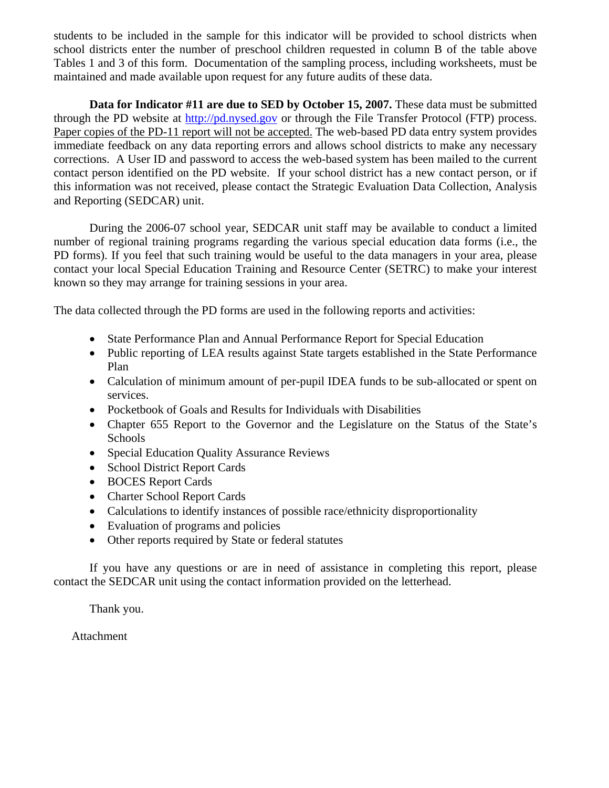students to be included in the sample for this indicator will be provided to school districts when school districts enter the number of preschool children requested in column B of the table above Tables 1 and 3 of this form. Documentation of the sampling process, including worksheets, must be maintained and made available upon request for any future audits of these data.

**Data for Indicator #11 are due to SED by October 15, 2007.** These data must be submitted through the PD website at http://pd.nysed.gov or through the File Transfer Protocol (FTP) process. Paper copies of the PD-11 report will not be accepted. The web-based PD data entry system provides immediate feedback on any data reporting errors and allows school districts to make any necessary corrections. A User ID and password to access the web-based system has been mailed to the current contact person identified on the PD website. If your school district has a new contact person, or if this information was not received, please contact the Strategic Evaluation Data Collection, Analysis and Reporting (SEDCAR) unit.

During the 2006-07 school year, SEDCAR unit staff may be available to conduct a limited number of regional training programs regarding the various special education data forms (i.e., the PD forms). If you feel that such training would be useful to the data managers in your area, please contact your local Special Education Training and Resource Center (SETRC) to make your interest known so they may arrange for training sessions in your area.

The data collected through the PD forms are used in the following reports and activities:

- State Performance Plan and Annual Performance Report for Special Education
- Public reporting of LEA results against State targets established in the State Performance Plan
- Calculation of minimum amount of per-pupil IDEA funds to be sub-allocated or spent on services.
- Pocketbook of Goals and Results for Individuals with Disabilities
- Chapter 655 Report to the Governor and the Legislature on the Status of the State's Schools
- Special Education Quality Assurance Reviews
- School District Report Cards
- BOCES Report Cards
- Charter School Report Cards
- Calculations to identify instances of possible race/ethnicity disproportionality
- Evaluation of programs and policies
- Other reports required by State or federal statutes

If you have any questions or are in need of assistance in completing this report, please contact the SEDCAR unit using the contact information provided on the letterhead.

Thank you.

Attachment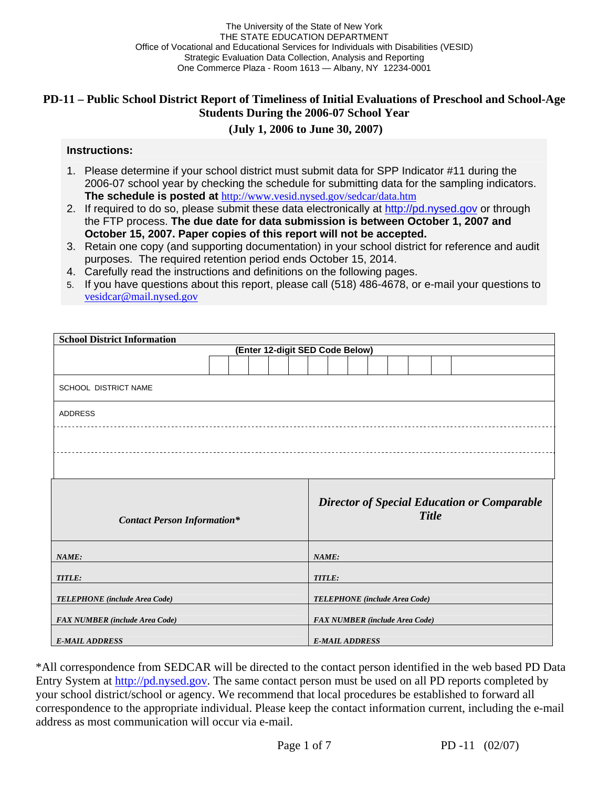# **PD-11 – Public School District Report of Timeliness of Initial Evaluations of Preschool and School-Age Students During the 2006-07 School Year**

# **(July 1, 2006 to June 30, 2007)**

#### **Instructions:**

- 1. Please determine if your school district must submit data for SPP Indicator #11 during the 2006-07 school year by checking the schedule for submitting data for the sampling indicators. **The schedule is posted at** http://www.vesid.nysed.gov/sedcar/data.htm
- 2. If required to do so, please submit these data electronically at http://pd.nysed.gov or through the FTP process. **The due date for data submission is between October 1, 2007 and October 15, 2007. Paper copies of this report will not be accepted.**
- 3. Retain one copy (and supporting documentation) in your school district for reference and audit purposes. The required retention period ends October 15, 2014.
- 4. Carefully read the instructions and definitions on the following pages.
- 5. If you have questions about this report, please call (518) 486-4678, or e-mail your questions to vesidcar@mail.nysed.gov

| <b>School District Information</b>    |  |  |  |  |  |        |  |                       |  |                                       |              |                                                    |
|---------------------------------------|--|--|--|--|--|--------|--|-----------------------|--|---------------------------------------|--------------|----------------------------------------------------|
| (Enter 12-digit SED Code Below)       |  |  |  |  |  |        |  |                       |  |                                       |              |                                                    |
|                                       |  |  |  |  |  |        |  |                       |  |                                       |              |                                                    |
| SCHOOL DISTRICT NAME                  |  |  |  |  |  |        |  |                       |  |                                       |              |                                                    |
| <b>ADDRESS</b>                        |  |  |  |  |  |        |  |                       |  |                                       |              |                                                    |
|                                       |  |  |  |  |  |        |  |                       |  |                                       |              |                                                    |
|                                       |  |  |  |  |  |        |  |                       |  |                                       |              |                                                    |
| <b>Contact Person Information*</b>    |  |  |  |  |  |        |  |                       |  |                                       | <b>Title</b> | <b>Director of Special Education or Comparable</b> |
| NAME:                                 |  |  |  |  |  | NAME:  |  |                       |  |                                       |              |                                                    |
| TITLE:                                |  |  |  |  |  | TITLE: |  |                       |  |                                       |              |                                                    |
| TELEPHONE (include Area Code)         |  |  |  |  |  |        |  |                       |  | TELEPHONE (include Area Code)         |              |                                                    |
| <b>FAX NUMBER</b> (include Area Code) |  |  |  |  |  |        |  |                       |  | <b>FAX NUMBER</b> (include Area Code) |              |                                                    |
| <b>E-MAIL ADDRESS</b>                 |  |  |  |  |  |        |  | <b>E-MAIL ADDRESS</b> |  |                                       |              |                                                    |

\*All correspondence from SEDCAR will be directed to the contact person identified in the web based PD Data Entry System at http://pd.nysed.gov. The same contact person must be used on all PD reports completed by your school district/school or agency. We recommend that local procedures be established to forward all correspondence to the appropriate individual. Please keep the contact information current, including the e-mail address as most communication will occur via e-mail.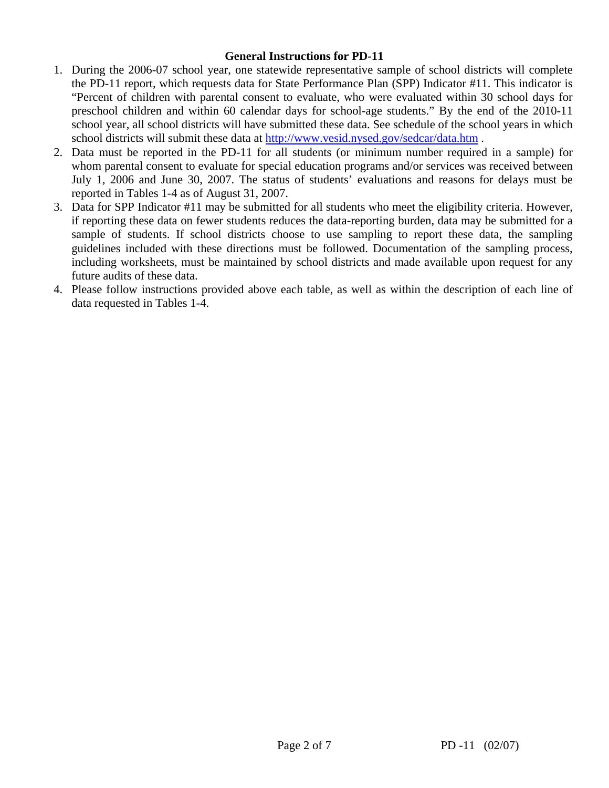## **General Instructions for PD-11**

- 1. During the 2006-07 school year, one statewide representative sample of school districts will complete the PD-11 report, which requests data for State Performance Plan (SPP) Indicator #11. This indicator is "Percent of children with parental consent to evaluate, who were evaluated within 30 school days for preschool children and within 60 calendar days for school-age students." By the end of the 2010-11 school year, all school districts will have submitted these data. See schedule of the school years in which school districts will submit these data at http://www.vesid.nysed.gov/sedcar/data.htm .
- 2. Data must be reported in the PD-11 for all students (or minimum number required in a sample) for whom parental consent to evaluate for special education programs and/or services was received between July 1, 2006 and June 30, 2007. The status of students' evaluations and reasons for delays must be reported in Tables 1-4 as of August 31, 2007.
- 3. Data for SPP Indicator #11 may be submitted for all students who meet the eligibility criteria. However, if reporting these data on fewer students reduces the data-reporting burden, data may be submitted for a sample of students. If school districts choose to use sampling to report these data, the sampling guidelines included with these directions must be followed. Documentation of the sampling process, including worksheets, must be maintained by school districts and made available upon request for any future audits of these data.
- 4. Please follow instructions provided above each table, as well as within the description of each line of data requested in Tables 1-4.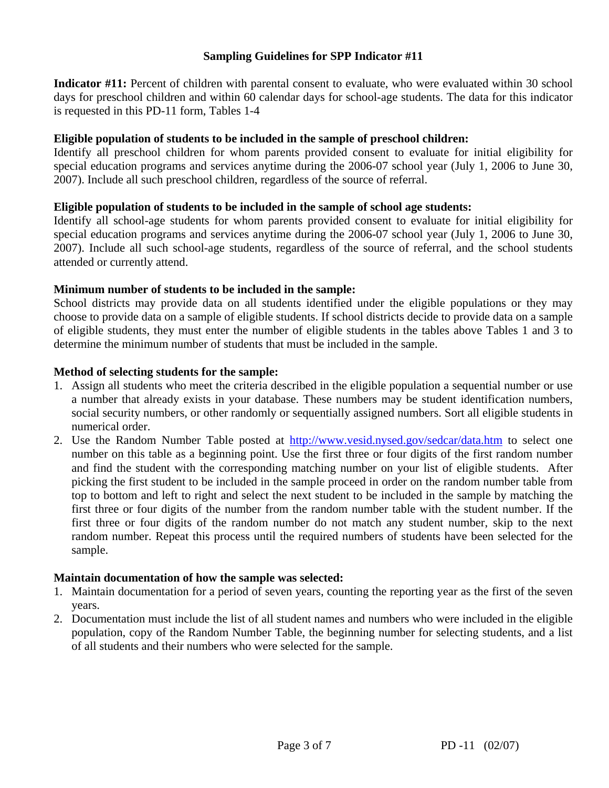## **Sampling Guidelines for SPP Indicator #11**

**Indicator #11:** Percent of children with parental consent to evaluate, who were evaluated within 30 school days for preschool children and within 60 calendar days for school-age students. The data for this indicator is requested in this PD-11 form, Tables 1-4

### **Eligible population of students to be included in the sample of preschool children:**

Identify all preschool children for whom parents provided consent to evaluate for initial eligibility for special education programs and services anytime during the 2006-07 school year (July 1, 2006 to June 30, 2007). Include all such preschool children, regardless of the source of referral.

## **Eligible population of students to be included in the sample of school age students:**

Identify all school-age students for whom parents provided consent to evaluate for initial eligibility for special education programs and services anytime during the 2006-07 school year (July 1, 2006 to June 30, 2007). Include all such school-age students, regardless of the source of referral, and the school students attended or currently attend.

## **Minimum number of students to be included in the sample:**

School districts may provide data on all students identified under the eligible populations or they may choose to provide data on a sample of eligible students. If school districts decide to provide data on a sample of eligible students, they must enter the number of eligible students in the tables above Tables 1 and 3 to determine the minimum number of students that must be included in the sample.

#### **Method of selecting students for the sample:**

- 1. Assign all students who meet the criteria described in the eligible population a sequential number or use a number that already exists in your database. These numbers may be student identification numbers, social security numbers, or other randomly or sequentially assigned numbers. Sort all eligible students in numerical order.
- 2. Use the Random Number Table posted at http://www.vesid.nysed.gov/sedcar/data.htm to select one number on this table as a beginning point. Use the first three or four digits of the first random number and find the student with the corresponding matching number on your list of eligible students. After picking the first student to be included in the sample proceed in order on the random number table from top to bottom and left to right and select the next student to be included in the sample by matching the first three or four digits of the number from the random number table with the student number. If the first three or four digits of the random number do not match any student number, skip to the next random number. Repeat this process until the required numbers of students have been selected for the sample.

#### **Maintain documentation of how the sample was selected:**

- 1. Maintain documentation for a period of seven years, counting the reporting year as the first of the seven years.
- 2. Documentation must include the list of all student names and numbers who were included in the eligible population, copy of the Random Number Table, the beginning number for selecting students, and a list of all students and their numbers who were selected for the sample.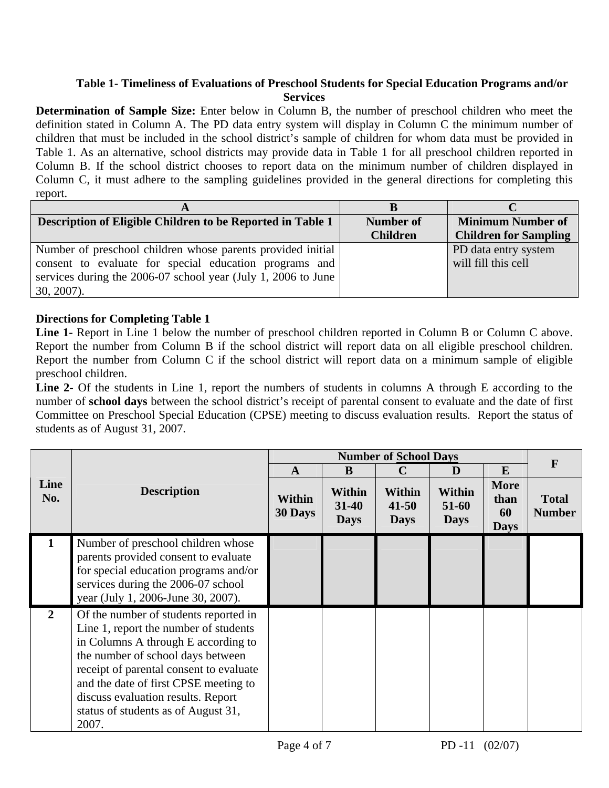## **Table 1- Timeliness of Evaluations of Preschool Students for Special Education Programs and/or Services**

**Determination of Sample Size:** Enter below in Column B, the number of preschool children who meet the definition stated in Column A. The PD data entry system will display in Column C the minimum number of children that must be included in the school district's sample of children for whom data must be provided in Table 1. As an alternative, school districts may provide data in Table 1 for all preschool children reported in Column B. If the school district chooses to report data on the minimum number of children displayed in Column C, it must adhere to the sampling guidelines provided in the general directions for completing this report.

| Description of Eligible Children to be Reported in Table 1    | Number of       | <b>Minimum Number of</b>     |
|---------------------------------------------------------------|-----------------|------------------------------|
|                                                               | <b>Children</b> | <b>Children for Sampling</b> |
| Number of preschool children whose parents provided initial   |                 | PD data entry system         |
| consent to evaluate for special education programs and        |                 | will fill this cell          |
| services during the 2006-07 school year (July 1, 2006 to June |                 |                              |
| $30, 2007$ ).                                                 |                 |                              |

## **Directions for Completing Table 1**

**Line 1-** Report in Line 1 below the number of preschool children reported in Column B or Column C above. Report the number from Column B if the school district will report data on all eligible preschool children. Report the number from Column C if the school district will report data on a minimum sample of eligible preschool children.

**Line 2-** Of the students in Line 1, report the numbers of students in columns A through E according to the number of **school days** between the school district's receipt of parental consent to evaluate and the date of first Committee on Preschool Special Education (CPSE) meeting to discuss evaluation results. Report the status of students as of August 31, 2007.

|                |                                                                                                                                                                                                                                                                                                                                      |                   | $\mathbf F$                               |                                    |                                       |                                          |                               |
|----------------|--------------------------------------------------------------------------------------------------------------------------------------------------------------------------------------------------------------------------------------------------------------------------------------------------------------------------------------|-------------------|-------------------------------------------|------------------------------------|---------------------------------------|------------------------------------------|-------------------------------|
|                |                                                                                                                                                                                                                                                                                                                                      | A                 | B                                         | C                                  | D                                     | E                                        |                               |
| Line<br>No.    | <b>Description</b>                                                                                                                                                                                                                                                                                                                   | Within<br>30 Days | <b>Within</b><br>$31 - 40$<br><b>Days</b> | Within<br>$41 - 50$<br><b>Days</b> | <b>Within</b><br>51-60<br><b>Days</b> | <b>More</b><br>than<br>60<br><b>Days</b> | <b>Total</b><br><b>Number</b> |
|                | Number of preschool children whose<br>parents provided consent to evaluate<br>for special education programs and/or<br>services during the 2006-07 school<br>year (July 1, 2006-June 30, 2007).                                                                                                                                      |                   |                                           |                                    |                                       |                                          |                               |
| $\overline{2}$ | Of the number of students reported in<br>Line 1, report the number of students<br>in Columns A through E according to<br>the number of school days between<br>receipt of parental consent to evaluate<br>and the date of first CPSE meeting to<br>discuss evaluation results. Report<br>status of students as of August 31,<br>2007. |                   |                                           |                                    |                                       |                                          |                               |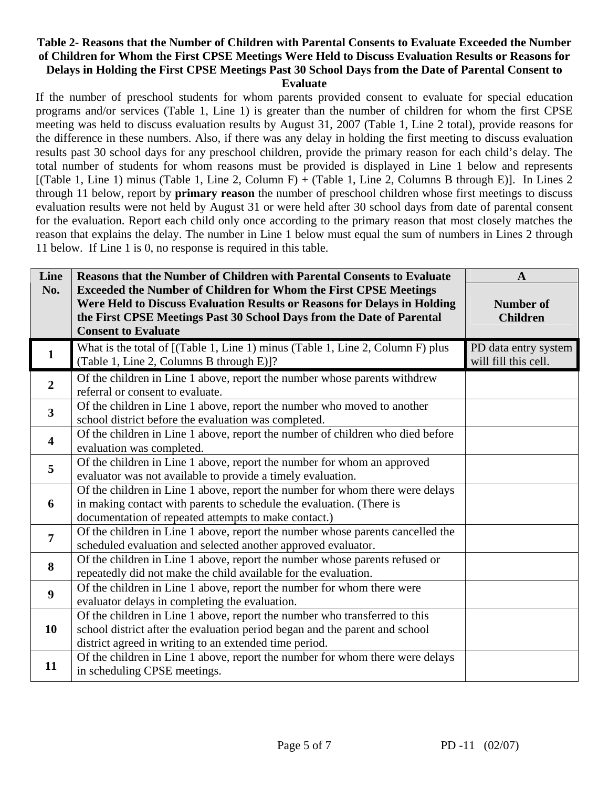#### **Table 2- Reasons that the Number of Children with Parental Consents to Evaluate Exceeded the Number of Children for Whom the First CPSE Meetings Were Held to Discuss Evaluation Results or Reasons for Delays in Holding the First CPSE Meetings Past 30 School Days from the Date of Parental Consent to Evaluate**

If the number of preschool students for whom parents provided consent to evaluate for special education programs and/or services (Table 1, Line 1) is greater than the number of children for whom the first CPSE meeting was held to discuss evaluation results by August 31, 2007 (Table 1, Line 2 total), provide reasons for the difference in these numbers. Also, if there was any delay in holding the first meeting to discuss evaluation results past 30 school days for any preschool children, provide the primary reason for each child's delay. The total number of students for whom reasons must be provided is displayed in Line 1 below and represents [(Table 1, Line 1) minus (Table 1, Line 2, Column F) + (Table 1, Line 2, Columns B through E)]. In Lines 2 through 11 below, report by **primary reason** the number of preschool children whose first meetings to discuss evaluation results were not held by August 31 or were held after 30 school days from date of parental consent for the evaluation. Report each child only once according to the primary reason that most closely matches the reason that explains the delay. The number in Line 1 below must equal the sum of numbers in Lines 2 through 11 below. If Line 1 is 0, no response is required in this table.

| Line                    | <b>Reasons that the Number of Children with Parental Consents to Evaluate</b>                       | $\mathbf{A}$                                 |
|-------------------------|-----------------------------------------------------------------------------------------------------|----------------------------------------------|
| No.                     | <b>Exceeded the Number of Children for Whom the First CPSE Meetings</b>                             |                                              |
|                         | Were Held to Discuss Evaluation Results or Reasons for Delays in Holding                            | <b>Number of</b>                             |
|                         | the First CPSE Meetings Past 30 School Days from the Date of Parental<br><b>Consent to Evaluate</b> | <b>Children</b>                              |
|                         |                                                                                                     |                                              |
| $\mathbf{1}$            | What is the total of [(Table 1, Line 1) minus (Table 1, Line 2, Column F) plus                      | PD data entry system<br>will fill this cell. |
|                         | (Table 1, Line 2, Columns B through E)]?                                                            |                                              |
| $\overline{2}$          | Of the children in Line 1 above, report the number whose parents withdrew                           |                                              |
|                         | referral or consent to evaluate.                                                                    |                                              |
| $\mathbf{3}$            | Of the children in Line 1 above, report the number who moved to another                             |                                              |
|                         | school district before the evaluation was completed.                                                |                                              |
| $\overline{\mathbf{4}}$ | Of the children in Line 1 above, report the number of children who died before                      |                                              |
|                         | evaluation was completed.                                                                           |                                              |
| 5                       | Of the children in Line 1 above, report the number for whom an approved                             |                                              |
|                         | evaluator was not available to provide a timely evaluation.                                         |                                              |
|                         | Of the children in Line 1 above, report the number for whom there were delays                       |                                              |
| 6                       | in making contact with parents to schedule the evaluation. (There is                                |                                              |
|                         | documentation of repeated attempts to make contact.)                                                |                                              |
| $\overline{7}$          | Of the children in Line 1 above, report the number whose parents cancelled the                      |                                              |
|                         | scheduled evaluation and selected another approved evaluator.                                       |                                              |
| 8                       | Of the children in Line 1 above, report the number whose parents refused or                         |                                              |
|                         | repeatedly did not make the child available for the evaluation.                                     |                                              |
| $\boldsymbol{9}$        | Of the children in Line 1 above, report the number for whom there were                              |                                              |
|                         | evaluator delays in completing the evaluation.                                                      |                                              |
|                         | Of the children in Line 1 above, report the number who transferred to this                          |                                              |
| 10                      | school district after the evaluation period began and the parent and school                         |                                              |
|                         | district agreed in writing to an extended time period.                                              |                                              |
|                         | Of the children in Line 1 above, report the number for whom there were delays                       |                                              |
| 11                      | in scheduling CPSE meetings.                                                                        |                                              |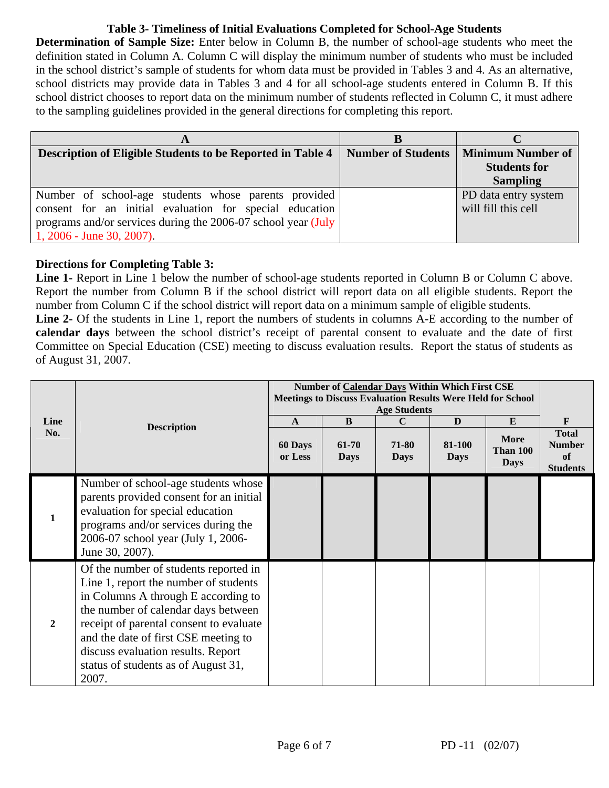# **Table 3- Timeliness of Initial Evaluations Completed for School-Age Students**

**Determination of Sample Size:** Enter below in Column B, the number of school-age students who meet the definition stated in Column A. Column C will display the minimum number of students who must be included in the school district's sample of students for whom data must be provided in Tables 3 and 4. As an alternative, school districts may provide data in Tables 3 and 4 for all school-age students entered in Column B. If this school district chooses to report data on the minimum number of students reflected in Column C, it must adhere to the sampling guidelines provided in the general directions for completing this report.

| A                                                             |                           |                          |
|---------------------------------------------------------------|---------------------------|--------------------------|
| Description of Eligible Students to be Reported in Table 4    | <b>Number of Students</b> | <b>Minimum Number of</b> |
|                                                               |                           | <b>Students for</b>      |
|                                                               |                           | <b>Sampling</b>          |
| Number of school-age students whose parents provided          |                           | PD data entry system     |
| consent for an initial evaluation for special education       |                           | will fill this cell      |
| programs and/or services during the 2006-07 school year (July |                           |                          |
| $1, 2006$ - June 30, 2007).                                   |                           |                          |

# **Directions for Completing Table 3:**

Line 1- Report in Line 1 below the number of school-age students reported in Column B or Column C above. Report the number from Column B if the school district will report data on all eligible students. Report the number from Column C if the school district will report data on a minimum sample of eligible students.

**Line 2-** Of the students in Line 1, report the numbers of students in columns A-E according to the number of **calendar days** between the school district's receipt of parental consent to evaluate and the date of first Committee on Special Education (CSE) meeting to discuss evaluation results. Report the status of students as of August 31, 2007.

| Line           | <b>Description</b>                                                                                                                                                                                                                                                                                                                    | $\mathbf{A}$              | B                    | <b>Age Students</b><br>$\mathbf C$ | Number of Calendar Days Within Which First CSE<br><b>Meetings to Discuss Evaluation Results Were Held for School</b><br>D | F                                                  |                                                        |
|----------------|---------------------------------------------------------------------------------------------------------------------------------------------------------------------------------------------------------------------------------------------------------------------------------------------------------------------------------------|---------------------------|----------------------|------------------------------------|---------------------------------------------------------------------------------------------------------------------------|----------------------------------------------------|--------------------------------------------------------|
| No.            |                                                                                                                                                                                                                                                                                                                                       | <b>60 Days</b><br>or Less | 61-70<br><b>Days</b> | 71-80<br><b>Days</b>               | 81-100<br><b>Days</b>                                                                                                     | E<br><b>More</b><br><b>Than 100</b><br><b>Days</b> | <b>Total</b><br><b>Number</b><br>of<br><b>Students</b> |
| 1              | Number of school-age students whose<br>parents provided consent for an initial<br>evaluation for special education<br>programs and/or services during the<br>2006-07 school year (July 1, 2006-<br>June 30, 2007).                                                                                                                    |                           |                      |                                    |                                                                                                                           |                                                    |                                                        |
| $\overline{2}$ | Of the number of students reported in<br>Line 1, report the number of students<br>in Columns A through E according to<br>the number of calendar days between<br>receipt of parental consent to evaluate<br>and the date of first CSE meeting to<br>discuss evaluation results. Report<br>status of students as of August 31,<br>2007. |                           |                      |                                    |                                                                                                                           |                                                    |                                                        |